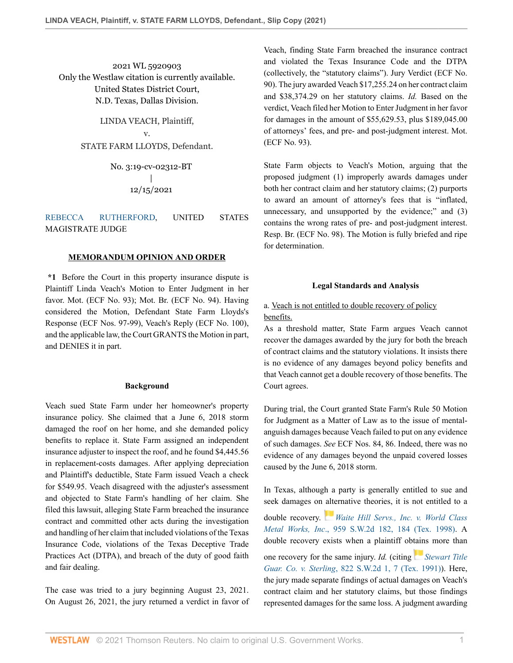2021 WL 5920903 Only the Westlaw citation is currently available. United States District Court, N.D. Texas, Dallas Division.

> LINDA VEACH, Plaintiff, v. STATE FARM LLOYDS, Defendant.

> > No. 3:19-cv-02312-BT | 12/15/2021

### [REBECCA RUTHERFORD](http://www.westlaw.com/Link/Document/FullText?findType=h&pubNum=176284&cite=0507733101&originatingDoc=I966099a05e5f11ec8337ad9f61f6c691&refType=RQ&originationContext=document&vr=3.0&rs=cblt1.0&transitionType=DocumentItem&contextData=(sc.Default)), UNITED STATES MAGISTRATE JUDGE

### **MEMORANDUM OPINION AND ORDER**

**\*1** Before the Court in this property insurance dispute is Plaintiff Linda Veach's Motion to Enter Judgment in her favor. Mot. (ECF No. 93); Mot. Br. (ECF No. 94). Having considered the Motion, Defendant State Farm Lloyds's Response (ECF Nos. 97-99), Veach's Reply (ECF No. 100), and the applicable law, the Court GRANTS the Motion in part, and DENIES it in part.

#### **Background**

Veach sued State Farm under her homeowner's property insurance policy. She claimed that a June 6, 2018 storm damaged the roof on her home, and she demanded policy benefits to replace it. State Farm assigned an independent insurance adjuster to inspect the roof, and he found \$4,445.56 in replacement-costs damages. After applying depreciation and Plaintiff's deductible, State Farm issued Veach a check for \$549.95. Veach disagreed with the adjuster's assessment and objected to State Farm's handling of her claim. She filed this lawsuit, alleging State Farm breached the insurance contract and committed other acts during the investigation and handling of her claim that included violations of the Texas Insurance Code, violations of the Texas Deceptive Trade Practices Act (DTPA), and breach of the duty of good faith and fair dealing.

The case was tried to a jury beginning August 23, 2021. On August 26, 2021, the jury returned a verdict in favor of Veach, finding State Farm breached the insurance contract and violated the Texas Insurance Code and the DTPA (collectively, the "statutory claims"). Jury Verdict (ECF No. 90). The jury awarded Veach \$17,255.24 on her contract claim and \$38,374.29 on her statutory claims. *Id.* Based on the verdict, Veach filed her Motion to Enter Judgment in her favor for damages in the amount of \$55,629.53, plus \$189,045.00 of attorneys' fees, and pre- and post-judgment interest. Mot. (ECF No. 93).

State Farm objects to Veach's Motion, arguing that the proposed judgment (1) improperly awards damages under both her contract claim and her statutory claims; (2) purports to award an amount of attorney's fees that is "inflated, unnecessary, and unsupported by the evidence;" and (3) contains the wrong rates of pre- and post-judgment interest. Resp. Br. (ECF No. 98). The Motion is fully briefed and ripe for determination.

#### **Legal Standards and Analysis**

# a. Veach is not entitled to double recovery of policy benefits.

As a threshold matter, State Farm argues Veach cannot recover the damages awarded by the jury for both the breach of contract claims and the statutory violations. It insists there is no evidence of any damages beyond policy benefits and that Veach cannot get a double recovery of those benefits. The Court agrees.

During trial, the Court granted State Farm's Rule 50 Motion for Judgment as a Matter of Law as to the issue of mentalanguish damages because Veach failed to put on any evidence of such damages. *See* ECF Nos. 84, 86. Indeed, there was no evidence of any damages beyond the unpaid covered losses caused by the June 6, 2018 storm.

In Texas, although a party is generally entitled to sue and seek damages on [alte](https://1.next.westlaw.com/Link/RelatedInformation/Flag?documentGuid=I034b6193e7bc11d99439b076ef9ec4de&transitionType=InlineKeyCiteFlags&originationContext=docHeaderFlag&Rank=0&ppcid=8d6b7728ae134d1995304925817cfdf9&contextData=(sc.Default) )rnative theories, it is not entitled to a double recovery. *[Waite Hill Servs., Inc. v. World Class](http://www.westlaw.com/Link/Document/FullText?findType=Y&serNum=1998033926&pubNum=0000713&originatingDoc=I966099a05e5f11ec8337ad9f61f6c691&refType=RP&fi=co_pp_sp_713_184&originationContext=document&vr=3.0&rs=cblt1.0&transitionType=DocumentItem&contextData=(sc.Default)#co_pp_sp_713_184) Metal Works, Inc*[., 959 S.W.2d 182, 184 \(Tex. 1998\)](http://www.westlaw.com/Link/Document/FullText?findType=Y&serNum=1998033926&pubNum=0000713&originatingDoc=I966099a05e5f11ec8337ad9f61f6c691&refType=RP&fi=co_pp_sp_713_184&originationContext=document&vr=3.0&rs=cblt1.0&transitionType=DocumentItem&contextData=(sc.Default)#co_pp_sp_713_184). A double recovery exists when a plaintiff ob[tain](https://1.next.westlaw.com/Link/RelatedInformation/Flag?documentGuid=Ifff53604e7d911d98ac8f235252e36df&transitionType=InlineKeyCiteFlags&originationContext=docHeaderFlag&Rank=0&ppcid=8d6b7728ae134d1995304925817cfdf9&contextData=(sc.Default) )s more than

one recovery for the same injury. *Id.* (citing *[Stewart Title](http://www.westlaw.com/Link/Document/FullText?findType=Y&serNum=1992018305&pubNum=0000713&originatingDoc=I966099a05e5f11ec8337ad9f61f6c691&refType=RP&fi=co_pp_sp_713_7&originationContext=document&vr=3.0&rs=cblt1.0&transitionType=DocumentItem&contextData=(sc.Default)#co_pp_sp_713_7) Guar. Co. v. Sterling*[, 822 S.W.2d 1, 7 \(Tex. 1991\)](http://www.westlaw.com/Link/Document/FullText?findType=Y&serNum=1992018305&pubNum=0000713&originatingDoc=I966099a05e5f11ec8337ad9f61f6c691&refType=RP&fi=co_pp_sp_713_7&originationContext=document&vr=3.0&rs=cblt1.0&transitionType=DocumentItem&contextData=(sc.Default)#co_pp_sp_713_7)). Here, the jury made separate findings of actual damages on Veach's contract claim and her statutory claims, but those findings represented damages for the same loss. A judgment awarding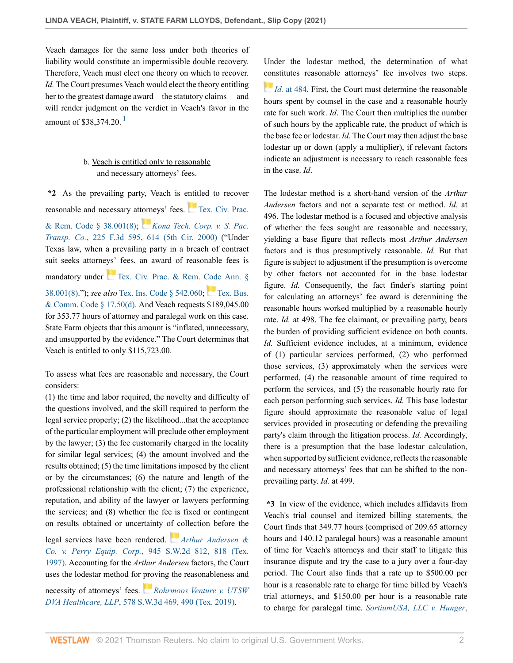Veach damages for the same loss under both theories of liability would constitute an impermissible double recovery. Therefore, Veach must elect one theory on which to recover. *Id.* The Court presumes Veach would elect the theory entitling her to the greatest damage award—the statutory claims— and will render judgment on the verdict in Veach's favor in the amount of \$38,374.20.<sup>[1](#page-3-0)</sup>

# <span id="page-1-0"></span>b. Veach is entitled only to reasonable and necessary attorneys' fees.

**\*2** As the prevailing party, Veach is entitled to recover reasonable and necessary at[torn](https://1.next.westlaw.com/Link/RelatedInformation/Flag?documentGuid=I97d90ea5798b11d9bf29e2067ad74e5b&transitionType=InlineKeyCiteFlags&originationContext=docHeaderFlag&Rank=0&ppcid=8d6b7728ae134d1995304925817cfdf9&contextData=(sc.Default) )eys' fees. [Tex. Civ. Prac.](http://www.westlaw.com/Link/Document/FullText?findType=L&pubNum=1000170&cite=TXCPS38.001&originatingDoc=I966099a05e5f11ec8337ad9f61f6c691&refType=LQ&originationContext=document&vr=3.0&rs=cblt1.0&transitionType=DocumentItem&contextData=(sc.Default)) [& Rem. Code § 38.001\(8\);](http://www.westlaw.com/Link/Document/FullText?findType=L&pubNum=1000170&cite=TXCPS38.001&originatingDoc=I966099a05e5f11ec8337ad9f61f6c691&refType=LQ&originationContext=document&vr=3.0&rs=cblt1.0&transitionType=DocumentItem&contextData=(sc.Default)) *[Kona Tech. Corp. v. S. Pac.](http://www.westlaw.com/Link/Document/FullText?findType=Y&serNum=2000490237&pubNum=0000506&originatingDoc=I966099a05e5f11ec8337ad9f61f6c691&refType=RP&fi=co_pp_sp_506_614&originationContext=document&vr=3.0&rs=cblt1.0&transitionType=DocumentItem&contextData=(sc.Default)#co_pp_sp_506_614) Transp. Co.*[, 225 F.3d 595, 614 \(5th Cir. 2000\)](http://www.westlaw.com/Link/Document/FullText?findType=Y&serNum=2000490237&pubNum=0000506&originatingDoc=I966099a05e5f11ec8337ad9f61f6c691&refType=RP&fi=co_pp_sp_506_614&originationContext=document&vr=3.0&rs=cblt1.0&transitionType=DocumentItem&contextData=(sc.Default)#co_pp_sp_506_614) ("Under Texas law, when a prevailing party in a breach of contract suit seeks attorneys' fees, an award of reasonable fees is mandatory under [Tex. Civ. Prac. & Rem. Code Ann. §](http://www.westlaw.com/Link/Document/FullText?findType=L&pubNum=1000170&cite=TXCPS38.001&originatingDoc=I966099a05e5f11ec8337ad9f61f6c691&refType=LQ&originationContext=document&vr=3.0&rs=cblt1.0&transitionType=DocumentItem&contextData=(sc.Default)) [38.001\(8\)](http://www.westlaw.com/Link/Document/FullText?findType=L&pubNum=1000170&cite=TXCPS38.001&originatingDoc=I966099a05e5f11ec8337ad9f61f6c691&refType=LQ&originationContext=document&vr=3.0&rs=cblt1.0&transitionType=DocumentItem&contextData=(sc.Default))."); *see also* [Tex. Ins. Code § 542.060;](http://www.westlaw.com/Link/Document/FullText?findType=L&pubNum=1000178&cite=TXINS542.060&originatingDoc=I966099a05e5f11ec8337ad9f61f6c691&refType=LQ&originationContext=document&vr=3.0&rs=cblt1.0&transitionType=DocumentItem&contextData=(sc.Default)) [Tex. Bus.](http://www.westlaw.com/Link/Document/FullText?findType=L&pubNum=1000168&cite=TXBCS17.50&originatingDoc=I966099a05e5f11ec8337ad9f61f6c691&refType=SP&originationContext=document&vr=3.0&rs=cblt1.0&transitionType=DocumentItem&contextData=(sc.Default)#co_pp_5ba1000067d06) [& Comm. Code § 17.50\(d\).](http://www.westlaw.com/Link/Document/FullText?findType=L&pubNum=1000168&cite=TXBCS17.50&originatingDoc=I966099a05e5f11ec8337ad9f61f6c691&refType=SP&originationContext=document&vr=3.0&rs=cblt1.0&transitionType=DocumentItem&contextData=(sc.Default)#co_pp_5ba1000067d06) And Veach requests \$189,045.00 for 353.77 hours of attorney and paralegal work on this case. State Farm objects that this amount is "inflated, unnecessary, and unsupported by the evidence." The Court determines that Veach is entitled to only \$115,723.00.

To assess what fees are reasonable and necessary, the Court considers:

(1) the time and labor required, the novelty and difficulty of the questions involved, and the skill required to perform the legal service properly; (2) the likelihood...that the acceptance of the particular employment will preclude other employment by the lawyer; (3) the fee customarily charged in the locality for similar legal services; (4) the amount involved and the results obtained; (5) the time limitations imposed by the client or by the circumstances; (6) the nature and length of the professional relationship with the client; (7) the experience, reputation, and ability of the lawyer or lawyers performing the services; and (8) whether the fee is fixed or contingent on results obtained or uncertainty [of co](https://1.next.westlaw.com/Link/RelatedInformation/Flag?documentGuid=I6f0361dee7c011d983e7e9deff98dc6f&transitionType=InlineKeyCiteFlags&originationContext=docHeaderFlag&Rank=0&ppcid=8d6b7728ae134d1995304925817cfdf9&contextData=(sc.Default) )llection before the

legal services have been rendered. *[Arthur Andersen &](http://www.westlaw.com/Link/Document/FullText?findType=Y&serNum=1997110555&pubNum=0000713&originatingDoc=I966099a05e5f11ec8337ad9f61f6c691&refType=RP&fi=co_pp_sp_713_818&originationContext=document&vr=3.0&rs=cblt1.0&transitionType=DocumentItem&contextData=(sc.Default)#co_pp_sp_713_818) Co. v. Perry Equip. Corp.*[, 945 S.W.2d 812, 818 \(Tex.](http://www.westlaw.com/Link/Document/FullText?findType=Y&serNum=1997110555&pubNum=0000713&originatingDoc=I966099a05e5f11ec8337ad9f61f6c691&refType=RP&fi=co_pp_sp_713_818&originationContext=document&vr=3.0&rs=cblt1.0&transitionType=DocumentItem&contextData=(sc.Default)#co_pp_sp_713_818) [1997\)](http://www.westlaw.com/Link/Document/FullText?findType=Y&serNum=1997110555&pubNum=0000713&originatingDoc=I966099a05e5f11ec8337ad9f61f6c691&refType=RP&fi=co_pp_sp_713_818&originationContext=document&vr=3.0&rs=cblt1.0&transitionType=DocumentItem&contextData=(sc.Default)#co_pp_sp_713_818). Accounting for the *Arthur Andersen* factors, the Court uses the lodestar method for [pro](https://1.next.westlaw.com/Link/RelatedInformation/Flag?documentGuid=Ib2215220683e11e9a6438b9dc1ba0379&transitionType=InlineKeyCiteFlags&originationContext=docHeaderFlag&Rank=0&ppcid=8d6b7728ae134d1995304925817cfdf9&contextData=(sc.Default) )ving the reasonableness and

necessity of attorneys' fees. *[Rohrmoos Venture v. UTSW](http://www.westlaw.com/Link/Document/FullText?findType=Y&serNum=2048139774&pubNum=0004644&originatingDoc=I966099a05e5f11ec8337ad9f61f6c691&refType=RP&fi=co_pp_sp_4644_490&originationContext=document&vr=3.0&rs=cblt1.0&transitionType=DocumentItem&contextData=(sc.Default)#co_pp_sp_4644_490) DVA Healthcare, LLP*[, 578 S.W.3d 469, 490 \(Tex. 2019\)](http://www.westlaw.com/Link/Document/FullText?findType=Y&serNum=2048139774&pubNum=0004644&originatingDoc=I966099a05e5f11ec8337ad9f61f6c691&refType=RP&fi=co_pp_sp_4644_490&originationContext=document&vr=3.0&rs=cblt1.0&transitionType=DocumentItem&contextData=(sc.Default)#co_pp_sp_4644_490).

Under the lodestar method, the determination of what [con](https://1.next.westlaw.com/Link/RelatedInformation/Flag?documentGuid=Ib2215220683e11e9a6438b9dc1ba0379&transitionType=InlineKeyCiteFlags&originationContext=docHeaderFlag&Rank=0&ppcid=8d6b7728ae134d1995304925817cfdf9&contextData=(sc.Default) )stitutes reasonable attorneys' fee involves two steps. *Id.* [at 484](http://www.westlaw.com/Link/Document/FullText?findType=Y&serNum=2048139774&pubNum=0004644&originatingDoc=I966099a05e5f11ec8337ad9f61f6c691&refType=RP&fi=co_pp_sp_4644_484&originationContext=document&vr=3.0&rs=cblt1.0&transitionType=DocumentItem&contextData=(sc.Default)#co_pp_sp_4644_484). First, the Court must determine the reasonable hours spent by counsel in the case and a reasonable hourly rate for such work. *Id*. The Court then multiplies the number of such hours by the applicable rate, the product of which is the base fee or lodestar. *Id*. The Court may then adjust the base lodestar up or down (apply a multiplier), if relevant factors

indicate an adjustment is necessary to reach reasonable fees

in the case. *Id*.

The lodestar method is a short-hand version of the *Arthur Andersen* factors and not a separate test or method. *Id*. at 496. The lodestar method is a focused and objective analysis of whether the fees sought are reasonable and necessary, yielding a base figure that reflects most *Arthur Andersen* factors and is thus presumptively reasonable. *Id.* But that figure is subject to adjustment if the presumption is overcome by other factors not accounted for in the base lodestar figure. *Id.* Consequently, the fact finder's starting point for calculating an attorneys' fee award is determining the reasonable hours worked multiplied by a reasonable hourly rate. *Id.* at 498. The fee claimant, or prevailing party, bears the burden of providing sufficient evidence on both counts. *Id.* Sufficient evidence includes, at a minimum, evidence of (1) particular services performed, (2) who performed those services, (3) approximately when the services were performed, (4) the reasonable amount of time required to perform the services, and (5) the reasonable hourly rate for each person performing such services. *Id.* This base lodestar figure should approximate the reasonable value of legal services provided in prosecuting or defending the prevailing party's claim through the litigation process. *Id.* Accordingly, there is a presumption that the base lodestar calculation, when supported by sufficient evidence, reflects the reasonable and necessary attorneys' fees that can be shifted to the nonprevailing party. *Id.* at 499.

**\*3** In view of the evidence, which includes affidavits from Veach's trial counsel and itemized billing statements, the Court finds that 349.77 hours (comprised of 209.65 attorney hours and 140.12 paralegal hours) was a reasonable amount of time for Veach's attorneys and their staff to litigate this insurance dispute and try the case to a jury over a four-day period. The Court also finds that a rate up to \$500.00 per hour is a reasonable rate to charge for time billed by Veach's trial attorneys, and \$150.00 per hour is a reasonable rate to charge for paralegal time. *[SortiumUSA, LLC v. Hunger](http://www.westlaw.com/Link/Document/FullText?findType=Y&serNum=2035268507&pubNum=0000999&originatingDoc=I966099a05e5f11ec8337ad9f61f6c691&refType=RP&fi=co_pp_sp_999_5&originationContext=document&vr=3.0&rs=cblt1.0&transitionType=DocumentItem&contextData=(sc.Default)#co_pp_sp_999_5)*,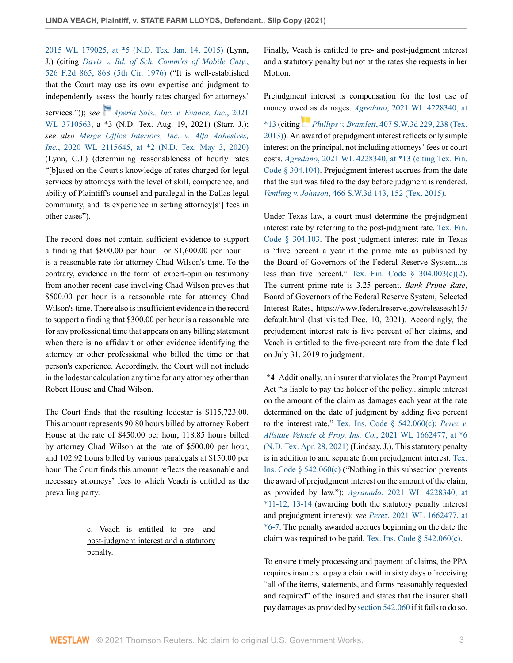[2015 WL 179025, at \\*5 \(N.D. Tex. Jan. 14, 2015\)](http://www.westlaw.com/Link/Document/FullText?findType=Y&serNum=2035268507&pubNum=0000999&originatingDoc=I966099a05e5f11ec8337ad9f61f6c691&refType=RP&fi=co_pp_sp_999_5&originationContext=document&vr=3.0&rs=cblt1.0&transitionType=DocumentItem&contextData=(sc.Default)#co_pp_sp_999_5) (Lynn, J.) (citing *[Davis v. Bd. of Sch. Comm'rs of Mobile Cnty.](http://www.westlaw.com/Link/Document/FullText?findType=Y&serNum=1976144529&pubNum=0000350&originatingDoc=I966099a05e5f11ec8337ad9f61f6c691&refType=RP&fi=co_pp_sp_350_868&originationContext=document&vr=3.0&rs=cblt1.0&transitionType=DocumentItem&contextData=(sc.Default)#co_pp_sp_350_868)*, [526 F.2d 865, 868 \(5th Cir. 1976\)](http://www.westlaw.com/Link/Document/FullText?findType=Y&serNum=1976144529&pubNum=0000350&originatingDoc=I966099a05e5f11ec8337ad9f61f6c691&refType=RP&fi=co_pp_sp_350_868&originationContext=document&vr=3.0&rs=cblt1.0&transitionType=DocumentItem&contextData=(sc.Default)#co_pp_sp_350_868) ("It is well-established that the Court may use its own expertise and judgment to independently assess the hourly rates charged for attorneys'

services.")); *see [Aperia Sols., Inc. v. Evance, Inc.](http://www.westlaw.com/Link/Document/FullText?findType=Y&serNum=2054352218&pubNum=0000999&originatingDoc=I966099a05e5f11ec8337ad9f61f6c691&refType=RP&originationContext=document&vr=3.0&rs=cblt1.0&transitionType=DocumentItem&contextData=(sc.Default))*, 2021 [WL 3710563,](http://www.westlaw.com/Link/Document/FullText?findType=Y&serNum=2054352218&pubNum=0000999&originatingDoc=I966099a05e5f11ec8337ad9f61f6c691&refType=RP&originationContext=document&vr=3.0&rs=cblt1.0&transitionType=DocumentItem&contextData=(sc.Default)) a \*3 (N.D. Tex. Aug. 19, 2021) (Starr, J.); *see also [Merge Office Interiors, Inc. v. Alfa Adhesives,](http://www.westlaw.com/Link/Document/FullText?findType=Y&serNum=2050895200&pubNum=0000999&originatingDoc=I966099a05e5f11ec8337ad9f61f6c691&refType=RP&fi=co_pp_sp_999_2&originationContext=document&vr=3.0&rs=cblt1.0&transitionType=DocumentItem&contextData=(sc.Default)#co_pp_sp_999_2) Inc.*[, 2020 WL 2115645, at \\*2 \(N.D. Tex. May 3, 2020\)](http://www.westlaw.com/Link/Document/FullText?findType=Y&serNum=2050895200&pubNum=0000999&originatingDoc=I966099a05e5f11ec8337ad9f61f6c691&refType=RP&fi=co_pp_sp_999_2&originationContext=document&vr=3.0&rs=cblt1.0&transitionType=DocumentItem&contextData=(sc.Default)#co_pp_sp_999_2) (Lynn, C.J.) (determining reasonableness of hourly rates "[b]ased on the Court's knowledge of rates charged for legal services by attorneys with the level of skill, competence, and ability of Plaintiff's counsel and paralegal in the Dallas legal community, and its experience in setting attorney[s'] fees in other cases").

The record does not contain sufficient evidence to support a finding that \$800.00 per hour—or \$1,600.00 per hour is a reasonable rate for attorney Chad Wilson's time. To the contrary, evidence in the form of expert-opinion testimony from another recent case involving Chad Wilson proves that \$500.00 per hour is a reasonable rate for attorney Chad Wilson's time. There also is insufficient evidence in the record to support a finding that \$300.00 per hour is a reasonable rate for any professional time that appears on any billing statement when there is no affidavit or other evidence identifying the attorney or other professional who billed the time or that person's experience. Accordingly, the Court will not include in the lodestar calculation any time for any attorney other than Robert House and Chad Wilson.

The Court finds that the resulting lodestar is \$115,723.00. This amount represents 90.80 hours billed by attorney Robert House at the rate of \$450.00 per hour, 118.85 hours billed by attorney Chad Wilson at the rate of \$500.00 per hour, and 102.92 hours billed by various paralegals at \$150.00 per hour. The Court finds this amount reflects the reasonable and necessary attorneys' fees to which Veach is entitled as the prevailing party.

> c. Veach is entitled to pre- and post-judgment interest and a statutory penalty.

Finally, Veach is entitled to pre- and post-judgment interest and a statutory penalty but not at the rates she requests in her Motion.

Prejudgment interest is compensation for the lost use of money ow[ed a](https://1.next.westlaw.com/Link/RelatedInformation/Flag?documentGuid=I95668233d4f711e2a160cacff148223f&transitionType=InlineKeyCiteFlags&originationContext=docHeaderFlag&Rank=0&ppcid=8d6b7728ae134d1995304925817cfdf9&contextData=(sc.Default) )s damages. *Agredano*[, 2021 WL 4228340, at](http://www.westlaw.com/Link/Document/FullText?findType=Y&serNum=2054516011&pubNum=0000999&originatingDoc=I966099a05e5f11ec8337ad9f61f6c691&refType=RP&fi=co_pp_sp_999_13&originationContext=document&vr=3.0&rs=cblt1.0&transitionType=DocumentItem&contextData=(sc.Default)#co_pp_sp_999_13) [\\*13](http://www.westlaw.com/Link/Document/FullText?findType=Y&serNum=2054516011&pubNum=0000999&originatingDoc=I966099a05e5f11ec8337ad9f61f6c691&refType=RP&fi=co_pp_sp_999_13&originationContext=document&vr=3.0&rs=cblt1.0&transitionType=DocumentItem&contextData=(sc.Default)#co_pp_sp_999_13) (citing *Phillips v. Bramlett*[, 407 S.W.3d 229, 238 \(Tex.](http://www.westlaw.com/Link/Document/FullText?findType=Y&serNum=2030744510&pubNum=0004644&originatingDoc=I966099a05e5f11ec8337ad9f61f6c691&refType=RP&fi=co_pp_sp_4644_238&originationContext=document&vr=3.0&rs=cblt1.0&transitionType=DocumentItem&contextData=(sc.Default)#co_pp_sp_4644_238) [2013\)](http://www.westlaw.com/Link/Document/FullText?findType=Y&serNum=2030744510&pubNum=0004644&originatingDoc=I966099a05e5f11ec8337ad9f61f6c691&refType=RP&fi=co_pp_sp_4644_238&originationContext=document&vr=3.0&rs=cblt1.0&transitionType=DocumentItem&contextData=(sc.Default)#co_pp_sp_4644_238)). An award of prejudgment interest reflects only simple interest on the principal, not including attorneys' fees or court costs. *Agredano*[, 2021 WL 4228340, at \\*13 \(citing Tex. Fin.](http://www.westlaw.com/Link/Document/FullText?findType=Y&serNum=2054516011&pubNum=0000999&originatingDoc=I966099a05e5f11ec8337ad9f61f6c691&refType=RP&fi=co_pp_sp_999_13&originationContext=document&vr=3.0&rs=cblt1.0&transitionType=DocumentItem&contextData=(sc.Default)#co_pp_sp_999_13) [Code § 304.104\).](http://www.westlaw.com/Link/Document/FullText?findType=Y&serNum=2054516011&pubNum=0000999&originatingDoc=I966099a05e5f11ec8337ad9f61f6c691&refType=RP&fi=co_pp_sp_999_13&originationContext=document&vr=3.0&rs=cblt1.0&transitionType=DocumentItem&contextData=(sc.Default)#co_pp_sp_999_13) Prejudgment interest accrues from the date that the suit was filed to the day before judgment is rendered. *Ventling v. Johnson*[, 466 S.W.3d 143, 152 \(Tex. 2015\)](http://www.westlaw.com/Link/Document/FullText?findType=Y&serNum=2036243825&pubNum=0004644&originatingDoc=I966099a05e5f11ec8337ad9f61f6c691&refType=RP&fi=co_pp_sp_4644_152&originationContext=document&vr=3.0&rs=cblt1.0&transitionType=DocumentItem&contextData=(sc.Default)#co_pp_sp_4644_152).

Under Texas law, a court must determine the prejudgment interest rate by referring to the post-judgment rate. [Tex. Fin.](http://www.westlaw.com/Link/Document/FullText?findType=L&pubNum=1015460&cite=TXFIS304.103&originatingDoc=I966099a05e5f11ec8337ad9f61f6c691&refType=LQ&originationContext=document&vr=3.0&rs=cblt1.0&transitionType=DocumentItem&contextData=(sc.Default)) [Code § 304.103.](http://www.westlaw.com/Link/Document/FullText?findType=L&pubNum=1015460&cite=TXFIS304.103&originatingDoc=I966099a05e5f11ec8337ad9f61f6c691&refType=LQ&originationContext=document&vr=3.0&rs=cblt1.0&transitionType=DocumentItem&contextData=(sc.Default)) The post-judgment interest rate in Texas is "five percent a year if the prime rate as published by the Board of Governors of the Federal Reserve System...is less than five percent." Tex. Fin. Code  $\S$  304.003(c)(2). The current prime rate is 3.25 percent. *Bank Prime Rate*, Board of Governors of the Federal Reserve System, Selected Interest Rates, https://www.federalreserve.gov/releases/h15/ default.html (last visited Dec. 10, 2021). Accordingly, the prejudgment interest rate is five percent of her claims, and Veach is entitled to the five-percent rate from the date filed on July 31, 2019 to judgment.

**\*4** Additionally, an insurer that violates the Prompt Payment Act "is liable to pay the holder of the policy...simple interest on the amount of the claim as damages each year at the rate determined on the date of judgment by adding five percent to the interest rate." [Tex. Ins. Code § 542.060\(c\);](http://www.westlaw.com/Link/Document/FullText?findType=L&pubNum=1000178&cite=TXINS542.060&originatingDoc=I966099a05e5f11ec8337ad9f61f6c691&refType=SP&originationContext=document&vr=3.0&rs=cblt1.0&transitionType=DocumentItem&contextData=(sc.Default)#co_pp_4b24000003ba5) *[Perez v.](http://www.westlaw.com/Link/Document/FullText?findType=Y&serNum=2053526931&pubNum=0000999&originatingDoc=I966099a05e5f11ec8337ad9f61f6c691&refType=RP&fi=co_pp_sp_999_6&originationContext=document&vr=3.0&rs=cblt1.0&transitionType=DocumentItem&contextData=(sc.Default)#co_pp_sp_999_6) [Allstate Vehicle & Prop. Ins. Co.](http://www.westlaw.com/Link/Document/FullText?findType=Y&serNum=2053526931&pubNum=0000999&originatingDoc=I966099a05e5f11ec8337ad9f61f6c691&refType=RP&fi=co_pp_sp_999_6&originationContext=document&vr=3.0&rs=cblt1.0&transitionType=DocumentItem&contextData=(sc.Default)#co_pp_sp_999_6)*, 2021 WL 1662477, at \*6 [\(N.D. Tex. Apr. 28, 2021\)](http://www.westlaw.com/Link/Document/FullText?findType=Y&serNum=2053526931&pubNum=0000999&originatingDoc=I966099a05e5f11ec8337ad9f61f6c691&refType=RP&fi=co_pp_sp_999_6&originationContext=document&vr=3.0&rs=cblt1.0&transitionType=DocumentItem&contextData=(sc.Default)#co_pp_sp_999_6) (Lindsay, J.). This statutory penalty is in addition to and separate from prejudgment interest. [Tex.](http://www.westlaw.com/Link/Document/FullText?findType=L&pubNum=1000178&cite=TXINS542.060&originatingDoc=I966099a05e5f11ec8337ad9f61f6c691&refType=SP&originationContext=document&vr=3.0&rs=cblt1.0&transitionType=DocumentItem&contextData=(sc.Default)#co_pp_4b24000003ba5) [Ins. Code § 542.060\(c\)](http://www.westlaw.com/Link/Document/FullText?findType=L&pubNum=1000178&cite=TXINS542.060&originatingDoc=I966099a05e5f11ec8337ad9f61f6c691&refType=SP&originationContext=document&vr=3.0&rs=cblt1.0&transitionType=DocumentItem&contextData=(sc.Default)#co_pp_4b24000003ba5) ("Nothing in this subsection prevents the award of prejudgment interest on the amount of the claim, as provided by law."); *Agranado*[, 2021 WL 4228340, at](http://www.westlaw.com/Link/Document/FullText?findType=Y&serNum=2054516011&pubNum=0000999&originatingDoc=I966099a05e5f11ec8337ad9f61f6c691&refType=RP&fi=co_pp_sp_999_14&originationContext=document&vr=3.0&rs=cblt1.0&transitionType=DocumentItem&contextData=(sc.Default)#co_pp_sp_999_14) [\\*11-12, 13-14](http://www.westlaw.com/Link/Document/FullText?findType=Y&serNum=2054516011&pubNum=0000999&originatingDoc=I966099a05e5f11ec8337ad9f61f6c691&refType=RP&fi=co_pp_sp_999_14&originationContext=document&vr=3.0&rs=cblt1.0&transitionType=DocumentItem&contextData=(sc.Default)#co_pp_sp_999_14) (awarding both the statutory penalty interest and prejudgment interest); *see Perez*[, 2021 WL 1662477, at](http://www.westlaw.com/Link/Document/FullText?findType=Y&serNum=2053526931&pubNum=0000999&originatingDoc=I966099a05e5f11ec8337ad9f61f6c691&refType=RP&fi=co_pp_sp_999_7&originationContext=document&vr=3.0&rs=cblt1.0&transitionType=DocumentItem&contextData=(sc.Default)#co_pp_sp_999_7) [\\*6-7](http://www.westlaw.com/Link/Document/FullText?findType=Y&serNum=2053526931&pubNum=0000999&originatingDoc=I966099a05e5f11ec8337ad9f61f6c691&refType=RP&fi=co_pp_sp_999_7&originationContext=document&vr=3.0&rs=cblt1.0&transitionType=DocumentItem&contextData=(sc.Default)#co_pp_sp_999_7). The penalty awarded accrues beginning on the date the claim was required to be paid. Tex. Ins. Code  $\S$  542.060(c).

To ensure timely processing and payment of claims, the PPA requires insurers to pay a claim within sixty days of receiving "all of the items, statements, and forms reasonably requested and required" of the insured and states that the insurer shall pay damages as provided by [section 542.060](http://www.westlaw.com/Link/Document/FullText?findType=L&pubNum=1000178&cite=TXINS542.060&originatingDoc=I966099a05e5f11ec8337ad9f61f6c691&refType=LQ&originationContext=document&vr=3.0&rs=cblt1.0&transitionType=DocumentItem&contextData=(sc.Default)) if it fails to do so.